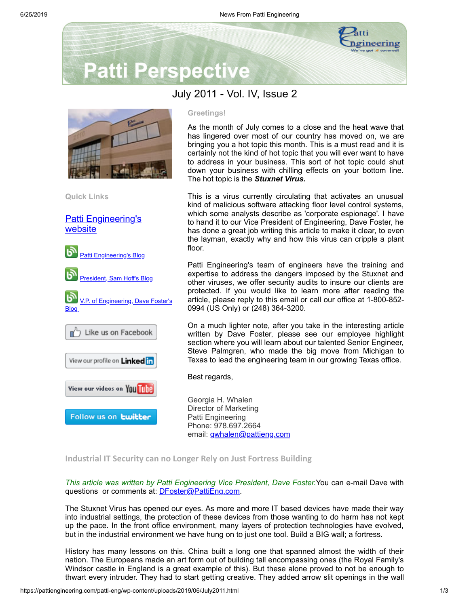

# **Patti Perspective**



**Quick Links**

[Patti Engineering's](http://www.pattieng.com/) website



### **Greetings!**

As the month of July comes to a close and the heat wave that has lingered over most of our country has moved on, we are bringing you a hot topic this month. This is a must read and it is certainly not the kind of hot topic that you will ever want to have to address in your business. This sort of hot topic could shut down your business with chilling effects on your bottom line. The hot topic is the *Stuxnet Virus.*

This is a virus currently circulating that activates an unusual kind of malicious software attacking floor level control systems, which some analysts describe as 'corporate espionage'. I have to hand it to our Vice President of Engineering, Dave Foster, he has done a great job writing this article to make it clear, to even the layman, exactly why and how this virus can cripple a plant floor.

Patti Engineering's team of engineers have the training and expertise to address the dangers imposed by the Stuxnet and other viruses, we offer security audits to insure our clients are protected. If you would like to learn more after reading the article, please reply to this email or call our office at 1-800-852- 0994 (US Only) or (248) 364-3200.

On a much lighter note, after you take in the interesting article written by Dave Foster, please see our employee highlight section where you will learn about our talented Senior Engineer, Steve Palmgren, who made the big move from Michigan to Texas to lead the engineering team in our growing Texas office.

Best regards,

Georgia H. Whalen Director of Marketing Patti Engineering Phone: 978.697.2664 email: [gwhalen@pattieng.com](mailto:gwhalen@pattieng.com)

## **Industrial IT Security can no Longer Rely on Just Fortress Building**

*This article was written by Patti Engineering Vice President, Dave Foster.*You can e-mail Dave with questions or comments at: **[DFoster@PattiEng.com](mailto:DFoster@PattiEng.com).** 

The Stuxnet Virus has opened our eyes. As more and more IT based devices have made their way into industrial settings, the protection of these devices from those wanting to do harm has not kept up the pace. In the front office environment, many layers of protection technologies have evolved, but in the industrial environment we have hung on to just one tool. Build a BIG wall; a fortress.

History has many lessons on this. China built a long one that spanned almost the width of their nation. The Europeans made an art form out of building tall encompassing ones (the Royal Family's Windsor castle in England is a great example of this). But these alone proved to not be enough to thwart every intruder. They had to start getting creative. They added arrow slit openings in the wall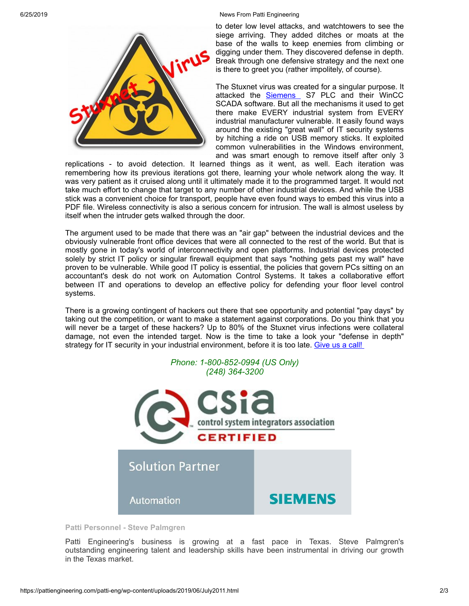#### 6/25/2019 News From Patti Engineering



to deter low level attacks, and watchtowers to see the siege arriving. They added ditches or moats at the base of the walls to keep enemies from climbing or digging under them. They discovered defense in depth. Break through one defensive strategy and the next one is there to greet you (rather impolitely, of course).

The Stuxnet virus was created for a singular purpose. It attacked the [Siemens](http://www.pattieng.com/partners-seimens-steeplechase-mitsubishi/siemens-integrator.html) S7 PLC and their WinCC SCADA software. But all the mechanisms it used to get there make EVERY industrial system from EVERY industrial manufacturer vulnerable. It easily found ways around the existing "great wall" of IT security systems by hitching a ride on USB memory sticks. It exploited common vulnerabilities in the Windows environment, and was smart enough to remove itself after only 3

replications - to avoid detection. It learned things as it went, as well. Each iteration was remembering how its previous iterations got there, learning your whole network along the way. It was very patient as it cruised along until it ultimately made it to the programmed target. It would not take much effort to change that target to any number of other industrial devices. And while the USB stick was a convenient choice for transport, people have even found ways to embed this virus into a PDF file. Wireless connectivity is also a serious concern for intrusion. The wall is almost useless by itself when the intruder gets walked through the door.

The argument used to be made that there was an "air gap" between the industrial devices and the obviously vulnerable front office devices that were all connected to the rest of the world. But that is mostly gone in today's world of interconnectivity and open platforms. Industrial devices protected solely by strict IT policy or singular firewall equipment that says "nothing gets past my wall" have proven to be vulnerable. While good IT policy is essential, the policies that govern PCs sitting on an accountant's desk do not work on Automation Control Systems. It takes a collaborative effort between IT and operations to develop an effective policy for defending your floor level control systems.

There is a growing contingent of hackers out there that see opportunity and potential "pay days" by taking out the competition, or want to make a statement against corporations. Do you think that you will never be a target of these hackers? Up to 80% of the Stuxnet virus infections were collateral damage, not even the intended target. Now is the time to take a look your "defense in depth" strategy for IT security in your industrial environment, before it is too late. [Give](http://www.pattieng.com/contact-us.html) us a call!



**Patti Personnel - Steve Palmgren**

Patti Engineering's business is growing at a fast pace in Texas. Steve Palmgren's outstanding engineering talent and leadership skills have been instrumental in driving our growth in the Texas market.